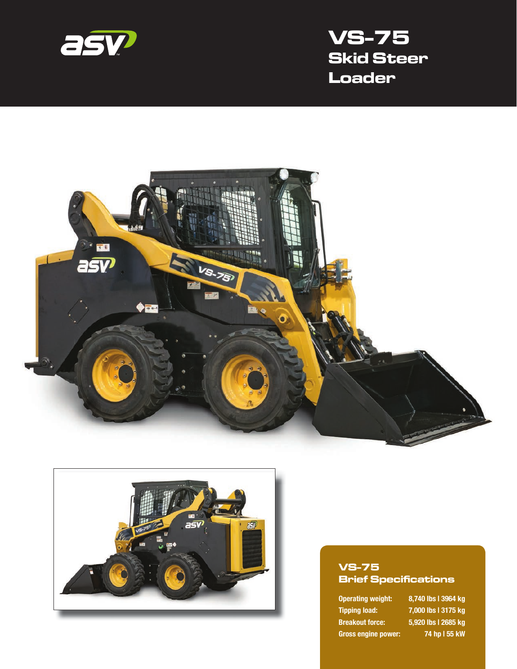

# **VS-75 Skid Steer Loader**





#### **VS-75 Brief Specifications**

**Tipping load: 7,000 lbs | 3175 kg Breakout force: 5,920 lbs | 2685 kg Gross engine power: 74 hp | 55 kW**

**Operating weight: 8,740 lbs | 3964 kg**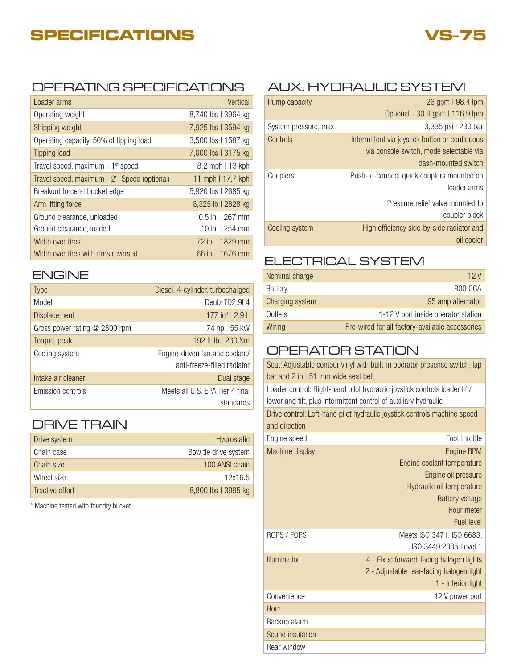# **SPECIFICATIONS**



#### OPERATING SPECIFICATIONS AUX. HYDRAULIC SYSTEM

| Loader arms                                              | Vertical            |
|----------------------------------------------------------|---------------------|
| Operating weight                                         | 8,740 lbs   3964 kg |
| Shipping weight                                          | 7,925 lbs   3594 kg |
| Operating capacity, 50% of tipping load                  | 3,500 lbs   1587 kg |
| Tipping load                                             | 7,000 lbs   3175 kg |
| Travel speed, maximum - 1 <sup>st</sup> speed            | 8.2 mph   13 kph    |
| Travel speed, maximum - 2 <sup>nd</sup> Speed (optional) | 11 mph   17.7 kph   |
| Breakout force at bucket edge                            | 5,920 lbs   2685 kg |
| Arm lifting force                                        | 6,325 lb   2828 kg  |
| Ground clearance, unloaded                               | 10.5 in 1267 mm     |
| Ground clearance, loaded                                 | 10 in $1254$ mm     |
| Width over tires                                         | 72 in. 11829 mm     |
| Width over tires with rims reversed                      | 66 in. I 1676 mm    |

### ENGINE

| <b>Type</b>                     | Diesel, 4-cylinder, turbocharged                              |
|---------------------------------|---------------------------------------------------------------|
| Model                           | Deutz TD2.9L4                                                 |
| <b>Displacement</b>             | 177 in <sup>3</sup>   $2.9 L$                                 |
| Gross power rating $@$ 2800 rpm | 74 hp I 55 kW                                                 |
| Torque, peak                    | 192 ft-lb   260 Nm                                            |
| Cooling system                  | Engine-driven fan and coolant/<br>anti-freeze-filled radiator |
| Intake air cleaner              | Dual stage                                                    |
| Emission controls               | Meets all U.S. EPA Tier 4 final<br>standards                  |

## DRIVE TRAIN

| Drive system    | Hydrostatic          |
|-----------------|----------------------|
| Chain case      | Bow tie drive system |
| Chain size      | 100 ANSI chain       |
| Wheel size      | 12x16.5              |
| Tractive effort | 8,800 lbs   3995 kg  |

\* Machine tested with foundry bucket

| Pump capacity         | 26 gpm   98.4 lpm                              |
|-----------------------|------------------------------------------------|
|                       | Optional - 30.9 gpm   116.9 lpm                |
| System pressure, max. | 3,335 psi   230 bar                            |
| Controls              | Intermittent via joystick button or continuous |
|                       | via console switch, mode selectable via        |
|                       | dash-mounted switch                            |
| Couplers              | Push-to-connect quick couplers mounted on      |
|                       | loader arms                                    |
|                       | Pressure relief valve mounted to               |
|                       | coupler block                                  |
| Cooling system        | High efficiency side-by-side radiator and      |
|                       | oil cooler                                     |

### ELECTRICAL SYSTEM

| Nominal charge  | 12 V                                            |
|-----------------|-------------------------------------------------|
| Battery         | 800 CCA                                         |
| Charging system | 95 amp alternator                               |
| Outlets         | 1-12 V port inside operator station             |
| Wiring          | Pre-wired for all factory-available accessories |

## OPERATOR STATION

|            | Seat: Adjustable contour vinyl with built-in operator presence switch, lap |                                                                           |  |  |
|------------|----------------------------------------------------------------------------|---------------------------------------------------------------------------|--|--|
|            | bar and 2 in $151$ mm wide seat belt                                       |                                                                           |  |  |
|            |                                                                            | Loader control: Right-hand pilot hydraulic joystick controls loader lift/ |  |  |
|            | lower and tilt, plus intermittent control of auxiliary hydraulic           |                                                                           |  |  |
|            |                                                                            | Drive control: Left-hand pilot hydraulic joystick controls machine speed  |  |  |
|            | and direction                                                              |                                                                           |  |  |
|            | Engine speed                                                               | Foot throttle                                                             |  |  |
|            | Machine display                                                            | Engine RPM                                                                |  |  |
|            |                                                                            | Engine coolant temperature                                                |  |  |
|            |                                                                            | Engine oil pressure                                                       |  |  |
|            | Hydraulic oil temperature                                                  |                                                                           |  |  |
|            | <b>Battery voltage</b>                                                     |                                                                           |  |  |
| Hour meter |                                                                            |                                                                           |  |  |
|            |                                                                            | Fuel level                                                                |  |  |
|            | ROPS / FOPS                                                                | Meets ISO 3471, ISO 6683,                                                 |  |  |
|            |                                                                            | ISO 3449:2005 Level 1                                                     |  |  |
|            | <b>Illumination</b>                                                        | 4 - Fixed forward-facing halogen lights                                   |  |  |
|            |                                                                            | 2 - Adjustable rear-facing halogen light                                  |  |  |
|            |                                                                            | 1 - Interior light                                                        |  |  |
|            | Convenience                                                                | 12 V power port                                                           |  |  |
|            | Horn                                                                       |                                                                           |  |  |
|            | Backup alarm                                                               |                                                                           |  |  |
|            | Sound insulation                                                           |                                                                           |  |  |
|            | Rear window                                                                |                                                                           |  |  |
|            |                                                                            |                                                                           |  |  |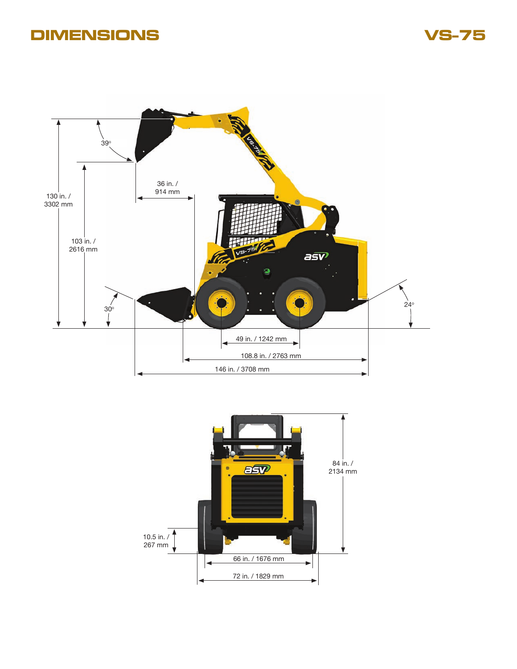# **DIMENSIONS**

**VS-75**